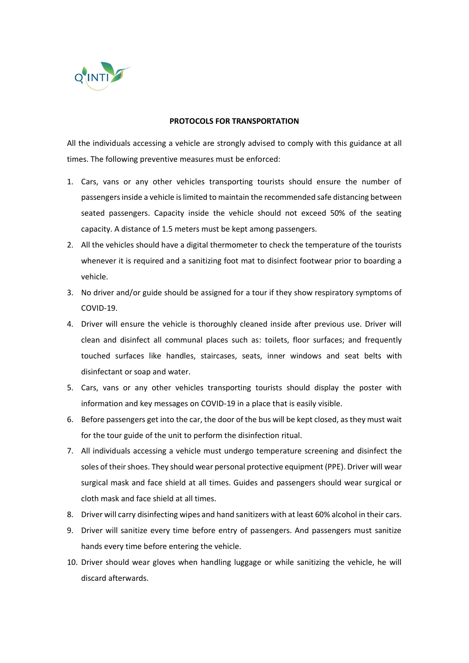

## **PROTOCOLS FOR TRANSPORTATION**

All the individuals accessing a vehicle are strongly advised to comply with this guidance at all times. The following preventive measures must be enforced:

- 1. Cars, vans or any other vehicles transporting tourists should ensure the number of passengers inside a vehicle is limited to maintain the recommended safe distancing between seated passengers. Capacity inside the vehicle should not exceed 50% of the seating capacity. A distance of 1.5 meters must be kept among passengers.
- 2. All the vehicles should have a digital thermometer to check the temperature of the tourists whenever it is required and a sanitizing foot mat to disinfect footwear prior to boarding a vehicle.
- 3. No driver and/or guide should be assigned for a tour if they show respiratory symptoms of COVID-19.
- 4. Driver will ensure the vehicle is thoroughly cleaned inside after previous use. Driver will clean and disinfect all communal places such as: toilets, floor surfaces; and frequently touched surfaces like handles, staircases, seats, inner windows and seat belts with disinfectant or soap and water.
- 5. Cars, vans or any other vehicles transporting tourists should display the poster with information and key messages on COVID-19 in a place that is easily visible.
- 6. Before passengers get into the car, the door of the bus will be kept closed, as they must wait for the tour guide of the unit to perform the disinfection ritual.
- 7. All individuals accessing a vehicle must undergo temperature screening and disinfect the soles of their shoes. They should wear personal protective equipment (PPE). Driver will wear surgical mask and face shield at all times. Guides and passengers should wear surgical or cloth mask and face shield at all times.
- 8. Driver will carry disinfecting wipes and hand sanitizers with at least 60% alcohol in their cars.
- 9. Driver will sanitize every time before entry of passengers. And passengers must sanitize hands every time before entering the vehicle.
- 10. Driver should wear gloves when handling luggage or while sanitizing the vehicle, he will discard afterwards.